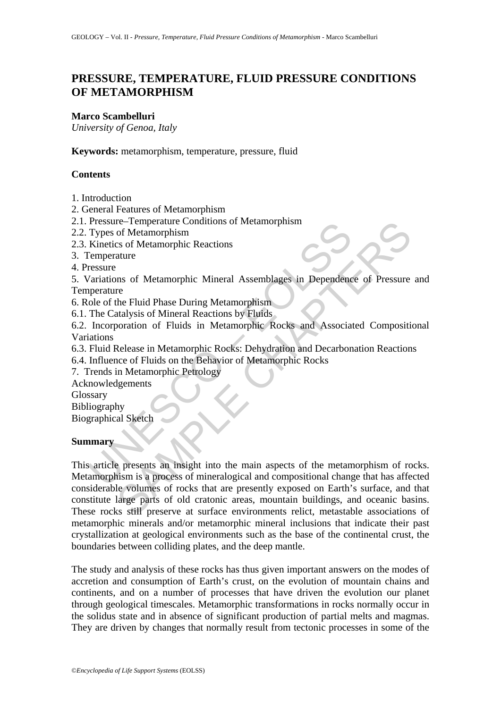# **PRESSURE, TEMPERATURE, FLUID PRESSURE CONDITIONS OF METAMORPHISM**

# **Marco Scambelluri**

*University of Genoa, Italy* 

**Keywords:** metamorphism, temperature, pressure, fluid

# **Contents**

1. Introduction

2. General Features of Metamorphism

2.1. Pressure–Temperature Conditions of Metamorphism

2.2. Types of Metamorphism

2.3. Kinetics of Metamorphic Reactions

3. Temperature

4. Pressure

5. Variations of Metamorphic Mineral Assemblages in Dependence of Pressure and **Temperature** 

6. Role of the Fluid Phase During Metamorphism

6.1. The Catalysis of Mineral Reactions by Fluids

6.2. Incorporation of Fluids in Metamorphic Rocks and Associated Compositional Variations

6.3. Fluid Release in Metamorphic Rocks: Dehydration and Decarbonation Reactions

6.4. Influence of Fluids on the Behavior of Metamorphic Rocks

7. Trends in Metamorphic Petrology

Acknowledgements

Glossary

Bibliography

Biographical Sketch

# **Summary**

Pressure - Iemperature Conduons of Metamorphism<br>
Types of Metamorphism<br>
There is of Metamorphic Reactions<br>
Eemperature<br>
Cariations of Metamorphic Reactions<br>
Cemerature<br>
Cariations of Metamorphic Mineral Assemblages in Depe Tenperature Conditions of Metamorphism<br>
of Metamorphic Reactions<br>
ature<br>
any of Metamorphic Reactions<br>
ature<br>
The Fluid Phase During Metamorphism<br>
reference of Pressure<br>
re<br>
the Fluid Phase During Metamorphism<br>
coration of This article presents an insight into the main aspects of the metamorphism of rocks. Metamorphism is a process of mineralogical and compositional change that has affected considerable volumes of rocks that are presently exposed on Earth's surface, and that constitute large parts of old cratonic areas, mountain buildings, and oceanic basins. These rocks still preserve at surface environments relict, metastable associations of metamorphic minerals and/or metamorphic mineral inclusions that indicate their past crystallization at geological environments such as the base of the continental crust, the boundaries between colliding plates, and the deep mantle.

The study and analysis of these rocks has thus given important answers on the modes of accretion and consumption of Earth's crust, on the evolution of mountain chains and continents, and on a number of processes that have driven the evolution our planet through geological timescales. Metamorphic transformations in rocks normally occur in the solidus state and in absence of significant production of partial melts and magmas. They are driven by changes that normally result from tectonic processes in some of the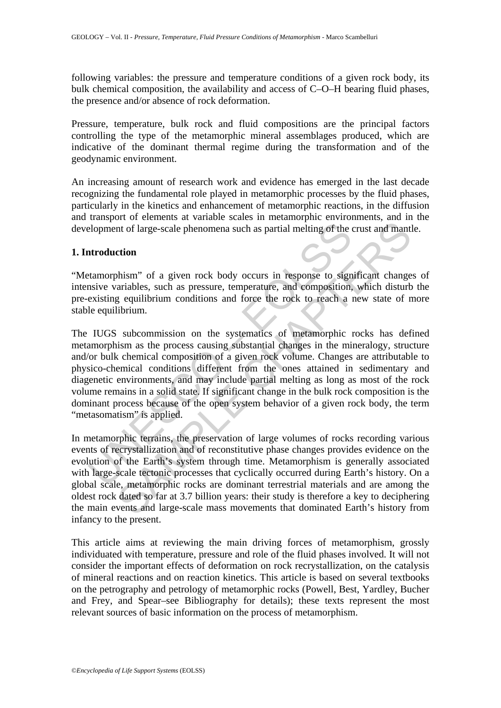following variables: the pressure and temperature conditions of a given rock body, its bulk chemical composition, the availability and access of C–O–H bearing fluid phases, the presence and/or absence of rock deformation.

Pressure, temperature, bulk rock and fluid compositions are the principal factors controlling the type of the metamorphic mineral assemblages produced, which are indicative of the dominant thermal regime during the transformation and of the geodynamic environment.

An increasing amount of research work and evidence has emerged in the last decade recognizing the fundamental role played in metamorphic processes by the fluid phases, particularly in the kinetics and enhancement of metamorphic reactions, in the diffusion and transport of elements at variable scales in metamorphic environments, and in the development of large-scale phenomena such as partial melting of the crust and mantle.

### **1. Introduction**

"Metamorphism" of a given rock body occurs in response to significant changes of intensive variables, such as pressure, temperature, and composition, which disturb the pre-existing equilibrium conditions and force the rock to reach a new state of more stable equilibrium.

elopment of large-scale phenomena such as partial melting of the<br> **atroduction**<br> **atroduction**<br> **atronophism**" of a given rock body occurs in response to sign<br>
strive variables, such as pressure, temperature, and compositi or or contention and variance of the customer in metastane in the flarge-scale phenomena such as partial melting of the crust and manti<br>
or of a given rock body occurs in response to significant change<br>
arriables, such as The IUGS subcommission on the systematics of metamorphic rocks has defined metamorphism as the process causing substantial changes in the mineralogy, structure and/or bulk chemical composition of a given rock volume. Changes are attributable to physico-chemical conditions different from the ones attained in sedimentary and diagenetic environments, and may include partial melting as long as most of the rock volume remains in a solid state. If significant change in the bulk rock composition is the dominant process because of the open system behavior of a given rock body, the term "metasomatism" is applied.

In metamorphic terrains, the preservation of large volumes of rocks recording various events of recrystallization and of reconstitutive phase changes provides evidence on the evolution of the Earth's system through time. Metamorphism is generally associated with large-scale tectonic processes that cyclically occurred during Earth's history. On a global scale, metamorphic rocks are dominant terrestrial materials and are among the oldest rock dated so far at 3.7 billion years: their study is therefore a key to deciphering the main events and large-scale mass movements that dominated Earth's history from infancy to the present.

This article aims at reviewing the main driving forces of metamorphism, grossly individuated with temperature, pressure and role of the fluid phases involved. It will not consider the important effects of deformation on rock recrystallization, on the catalysis of mineral reactions and on reaction kinetics. This article is based on several textbooks on the petrography and petrology of metamorphic rocks (Powell, Best, Yardley, Bucher and Frey, and Spear–see Bibliography for details); these texts represent the most relevant sources of basic information on the process of metamorphism.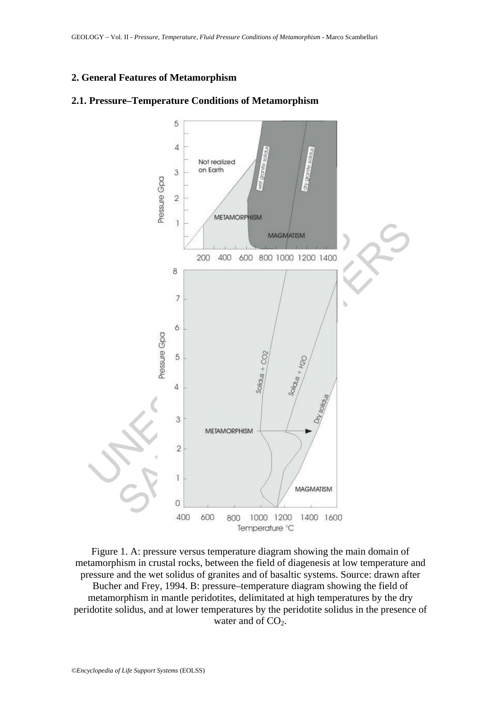### **2. General Features of Metamorphism**



#### **2.1. Pressure–Temperature Conditions of Metamorphism**

Figure 1. A: pressure versus temperature diagram showing the main domain of metamorphism in crustal rocks, between the field of diagenesis at low temperature and pressure and the wet solidus of granites and of basaltic systems. Source: drawn after Bucher and Frey, 1994. B: pressure–temperature diagram showing the field of metamorphism in mantle peridotites, delimitated at high temperatures by the dry peridotite solidus, and at lower temperatures by the peridotite solidus in the presence of water and of  $CO<sub>2</sub>$ .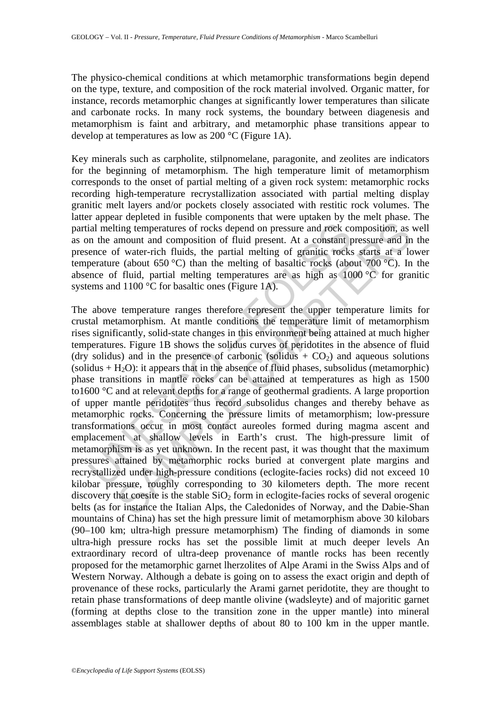The physico-chemical conditions at which metamorphic transformations begin depend on the type, texture, and composition of the rock material involved. Organic matter, for instance, records metamorphic changes at significantly lower temperatures than silicate and carbonate rocks. In many rock systems, the boundary between diagenesis and metamorphism is faint and arbitrary, and metamorphic phase transitions appear to develop at temperatures as low as 200 °C (Figure 1A).

Key minerals such as carpholite, stilpnomelane, paragonite, and zeolites are indicators for the beginning of metamorphism. The high temperature limit of metamorphism corresponds to the onset of partial melting of a given rock system: metamorphic rocks recording high-temperature recrystallization associated with partial melting display granitic melt layers and/or pockets closely associated with restitic rock volumes. The latter appear depleted in fusible components that were uptaken by the melt phase. The partial melting temperatures of rocks depend on pressure and rock composition, as well as on the amount and composition of fluid present. At a constant pressure and in the presence of water-rich fluids, the partial melting of granitic rocks starts at a lower temperature (about 650 °C) than the melting of basaltic rocks (about 700 °C). In the absence of fluid, partial melting temperatures are as high as 1000 °C for granitic systems and 1100 °C for basaltic ones (Figure 1A).

ial melting temperatures of rocks depend on pressure and rock cc<br>n the amount and composition of fluid present. At a constant p<br>ence of water-rich fluids, the partial melting of granitic rocks<br>perature (about 650 °C) than ting temperatures of rocks depend on pressure and rock composition, as<br>ting temperatures of rocks depend on pressure and rock composition, as<br>mount and composition of fluid present. At a constant pressure and in<br> $f$  water The above temperature ranges therefore represent the upper temperature limits for crustal metamorphism. At mantle conditions the temperature limit of metamorphism rises significantly, solid-state changes in this environment being attained at much higher temperatures. Figure 1B shows the solidus curves of peridotites in the absence of fluid (dry solidus) and in the presence of carbonic (solidus  $+$  CO<sub>2</sub>) and aqueous solutions (solidus  $+ H<sub>2</sub>O$ ): it appears that in the absence of fluid phases, subsolidus (metamorphic) phase transitions in mantle rocks can be attained at temperatures as high as 1500 to1600 °C and at relevant depths for a range of geothermal gradients. A large proportion of upper mantle peridotites thus record subsolidus changes and thereby behave as metamorphic rocks. Concerning the pressure limits of metamorphism; low-pressure transformations occur in most contact aureoles formed during magma ascent and emplacement at shallow levels in Earth's crust. The high-pressure limit of metamorphism is as yet unknown. In the recent past, it was thought that the maximum pressures attained by metamorphic rocks buried at convergent plate margins and recrystallized under high-pressure conditions (eclogite-facies rocks) did not exceed 10 kilobar pressure, roughly corresponding to 30 kilometers depth. The more recent discovery that coesite is the stable  $SiO<sub>2</sub>$  form in eclogite-facies rocks of several orogenic belts (as for instance the Italian Alps, the Caledonides of Norway, and the Dabie-Shan mountains of China) has set the high pressure limit of metamorphism above 30 kilobars (90–100 km; ultra-high pressure metamorphism) The finding of diamonds in some ultra-high pressure rocks has set the possible limit at much deeper levels An extraordinary record of ultra-deep provenance of mantle rocks has been recently proposed for the metamorphic garnet lherzolites of Alpe Arami in the Swiss Alps and of Western Norway. Although a debate is going on to assess the exact origin and depth of provenance of these rocks, particularly the Arami garnet peridotite, they are thought to retain phase transformations of deep mantle olivine (wadsleyte) and of majoritic garnet (forming at depths close to the transition zone in the upper mantle) into mineral assemblages stable at shallower depths of about 80 to 100 km in the upper mantle.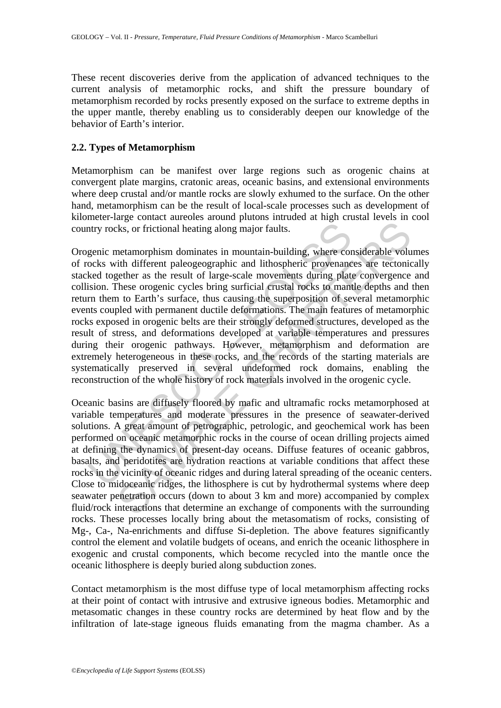These recent discoveries derive from the application of advanced techniques to the current analysis of metamorphic rocks, and shift the pressure boundary of metamorphism recorded by rocks presently exposed on the surface to extreme depths in the upper mantle, thereby enabling us to considerably deepen our knowledge of the behavior of Earth's interior.

# **2.2. Types of Metamorphism**

Metamorphism can be manifest over large regions such as orogenic chains at convergent plate margins, cratonic areas, oceanic basins, and extensional environments where deep crustal and/or mantle rocks are slowly exhumed to the surface. On the other hand, metamorphism can be the result of local-scale processes such as development of kilometer-large contact aureoles around plutons intruded at high crustal levels in cool country rocks, or frictional heating along major faults.

nty rocks, or frictional heating along major faults.<br>
genic metamorphism dominates in mountain-building, where corcks with different paleogeographic and lithospheric provenance<br>
keel together as the result of lage-scale mo Less, or frictional heating along major faults.<br>
Exks, or frictional heating along major faults.<br>
Interamorphism dominates in mountain-building, where considerable volu-<br>
tith different paleogeographic and lithospheric pro Orogenic metamorphism dominates in mountain-building, where considerable volumes of rocks with different paleogeographic and lithospheric provenances are tectonically stacked together as the result of large-scale movements during plate convergence and collision. These orogenic cycles bring surficial crustal rocks to mantle depths and then return them to Earth's surface, thus causing the superposition of several metamorphic events coupled with permanent ductile deformations. The main features of metamorphic rocks exposed in orogenic belts are their strongly deformed structures, developed as the result of stress, and deformations developed at variable temperatures and pressures during their orogenic pathways. However, metamorphism and deformation are extremely heterogeneous in these rocks, and the records of the starting materials are systematically preserved in several undeformed rock domains, enabling the reconstruction of the whole history of rock materials involved in the orogenic cycle.

Oceanic basins are diffusely floored by mafic and ultramafic rocks metamorphosed at variable temperatures and moderate pressures in the presence of seawater-derived solutions. A great amount of petrographic, petrologic, and geochemical work has been performed on oceanic metamorphic rocks in the course of ocean drilling projects aimed at defining the dynamics of present-day oceans. Diffuse features of oceanic gabbros, basalts, and peridotites are hydration reactions at variable conditions that affect these rocks in the vicinity of oceanic ridges and during lateral spreading of the oceanic centers. Close to midoceanic ridges, the lithosphere is cut by hydrothermal systems where deep seawater penetration occurs (down to about 3 km and more) accompanied by complex fluid/rock interactions that determine an exchange of components with the surrounding rocks. These processes locally bring about the metasomatism of rocks, consisting of Mg-, Ca-, Na-enrichments and diffuse Si-depletion. The above features significantly control the element and volatile budgets of oceans, and enrich the oceanic lithosphere in exogenic and crustal components, which become recycled into the mantle once the oceanic lithosphere is deeply buried along subduction zones.

Contact metamorphism is the most diffuse type of local metamorphism affecting rocks at their point of contact with intrusive and extrusive igneous bodies. Metamorphic and metasomatic changes in these country rocks are determined by heat flow and by the infiltration of late-stage igneous fluids emanating from the magma chamber. As a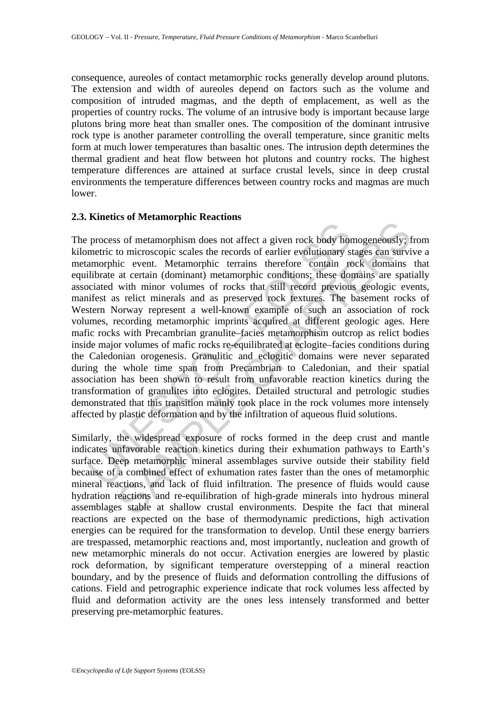consequence, aureoles of contact metamorphic rocks generally develop around plutons. The extension and width of aureoles depend on factors such as the volume and composition of intruded magmas, and the depth of emplacement, as well as the properties of country rocks. The volume of an intrusive body is important because large plutons bring more heat than smaller ones. The composition of the dominant intrusive rock type is another parameter controlling the overall temperature, since granitic melts form at much lower temperatures than basaltic ones. The intrusion depth determines the thermal gradient and heat flow between hot plutons and country rocks. The highest temperature differences are attained at surface crustal levels, since in deep crustal environments the temperature differences between country rocks and magmas are much lower.

# **2.3. Kinetics of Metamorphic Reactions**

process of metamorphism does not affect a given rock body hor<br>metric to microscopic scales the records of earlier evolutionary stamorphic<br>extrain (dominant) metamorphic errains therefore contain re<br>divisions these dominant as of metamorphism does not affect a given rock body homogeneously; so for metamorphism does not affect a given rock body homogeneously; to incroscopie scales the records of earlier evolutionary stages can survivice evolut The process of metamorphism does not affect a given rock body homogeneously; from kilometric to microscopic scales the records of earlier evolutionary stages can survive a metamorphic event. Metamorphic terrains therefore contain rock domains that equilibrate at certain (dominant) metamorphic conditions; these domains are spatially associated with minor volumes of rocks that still record previous geologic events, manifest as relict minerals and as preserved rock textures. The basement rocks of Western Norway represent a well-known example of such an association of rock volumes, recording metamorphic imprints acquired at different geologic ages. Here mafic rocks with Precambrian granulite–facies metamorphism outcrop as relict bodies inside major volumes of mafic rocks re-equilibrated at eclogite–facies conditions during the Caledonian orogenesis. Granulitic and eclogitic domains were never separated during the whole time span from Precambrian to Caledonian, and their spatial association has been shown to result from unfavorable reaction kinetics during the transformation of granulites into eclogites. Detailed structural and petrologic studies demonstrated that this transition mainly took place in the rock volumes more intensely affected by plastic deformation and by the infiltration of aqueous fluid solutions.

Similarly, the widespread exposure of rocks formed in the deep crust and mantle indicates unfavorable reaction kinetics during their exhumation pathways to Earth's surface. Deep metamorphic mineral assemblages survive outside their stability field because of a combined effect of exhumation rates faster than the ones of metamorphic mineral reactions, and lack of fluid infiltration. The presence of fluids would cause hydration reactions and re-equilibration of high-grade minerals into hydrous mineral assemblages stable at shallow crustal environments. Despite the fact that mineral reactions are expected on the base of thermodynamic predictions, high activation energies can be required for the transformation to develop. Until these energy barriers are trespassed, metamorphic reactions and, most importantly, nucleation and growth of new metamorphic minerals do not occur. Activation energies are lowered by plastic rock deformation, by significant temperature overstepping of a mineral reaction boundary, and by the presence of fluids and deformation controlling the diffusions of cations. Field and petrographic experience indicate that rock volumes less affected by fluid and deformation activity are the ones less intensely transformed and better preserving pre-metamorphic features.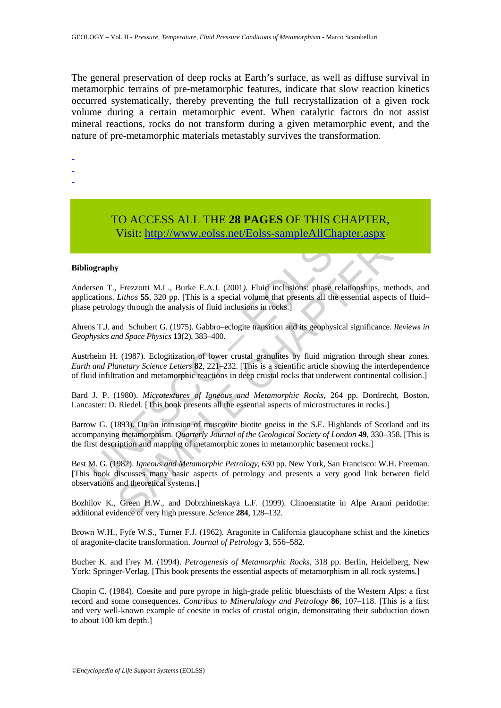The general preservation of deep rocks at Earth's surface, as well as diffuse survival in metamorphic terrains of pre-metamorphic features, indicate that slow reaction kinetics occurred systematically, thereby preventing the full recrystallization of a given rock volume during a certain metamorphic event. When catalytic factors do not assist mineral reactions, rocks do not transform during a given metamorphic event, and the nature of pre-metamorphic materials metastably survives the transformation.

-

-

-

# TO ACCESS ALL THE **28 PAGES** OF THIS CHAPTER, Visit: http://www.eolss.net/Eolss-sampleAllChapter.aspx

#### **Bibliography**

Visit: http://www.eolss.net/Eolss-sampleAllChapture<br>Visit: http://www.eolss.net/Eolss-sampleAllChapture<br>iography<br>for T., Frezzotti M.L., Burke E.A.J. (2001). Fluid inclusions: phase relations<br>cations. *Lithos* 55, 320 pp. **US ACCESS ALL THE 26 PAGES OF THIS CHAPTER,**<br>
Visit:  $\frac{1}{2}$   $\frac{1}{2}$   $\frac{1}{2}$   $\frac{1}{2}$   $\frac{1}{2}$   $\frac{1}{2}$   $\frac{1}{2}$   $\frac{1}{2}$   $\frac{1}{2}$   $\frac{1}{2}$   $\frac{1}{2}$   $\frac{1}{2}$   $\frac{1}{2}$   $\frac{1}{2}$   $\frac{1}{2}$   $\frac{1}{2}$   $\frac{1}{2$ Andersen T., Frezzotti M.L., Burke E.A.J. (2001*).* Fluid inclusions: phase relationships, methods, and applications. *Lithos* **55**, 320 pp. [This is a special volume that presents all the essential aspects of fluid– phase petrology through the analysis of fluid inclusions in rocks.]

Ahrens T.J. and Schubert G. (1975). Gabbro–eclogite transition and its geophysical significance. *Reviews in Geophysics and Space Physics* **13**(2), 383–400.

Austrheim H. (1987). Eclogitization of lower crustal granulites by fluid migration through shear zones*. Earth and Planetary Science Letters* **82**, 221–232. [This is a scientific article showing the interdependence of fluid infiltration and metamorphic reactions in deep crustal rocks that underwent continental collision.]

Bard J. P. (1980). *Microtextures of Igneous and Metamorphic Rocks,* 264 pp. Dordrecht, Boston, Lancaster: D. Riedel. [This book presents all the essential aspects of microstructures in rocks.]

Barrow G. (1893). On an intrusion of muscovite biotite gneiss in the S.E. Highlands of Scotland and its accompanying metamorphism. *Quarterly Journal of the Geological Society of London* **49**, 330–358. [This is the first description and mapping of metamorphic zones in metamorphic basement rocks.]

Best M. G. (1982). *Igneous and Metamorphic Petrology*, 630 pp. New York, San Francisco: W.H. Freeman. [This book discusses many basic aspects of petrology and presents a very good link between field observations and theoretical systems.]

Bozhilov K., Green H.W., and Dobrzhinetskaya L.F. (1999). Clinoenstatite in Alpe Arami peridotite: additional evidence of very high pressure. *Science* **284**, 128–132.

Brown W.H., Fyfe W.S., Turner F.J. (1962). Aragonite in California glaucophane schist and the kinetics of aragonite-clacite transformation. *Journal of Petrology* **3**, 556–582.

Bucher K. and Frey M. (1994). *Petrogenesis of Metamorphic Rocks*, 318 pp. Berlin, Heidelberg, New York: Springer-Verlag. [This book presents the essential aspects of metamorphism in all rock systems.]

Chopin C. (1984). Coesite and pure pyrope in high-grade pelitic blueschists of the Western Alps: a first record and some consequences. *Contribus to Mineralalogy and Petrology* **86**, 107–118. [This is a first and very well-known example of coesite in rocks of crustal origin, demonstrating their subduction down to about 100 km depth.]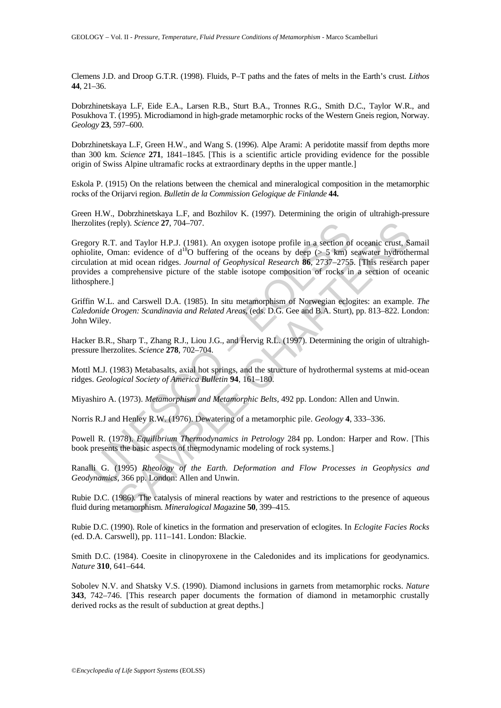Clemens J.D. and Droop G.T.R. (1998). Fluids, P–T paths and the fates of melts in the Earth's crust. *Lithos* **44**, 21–36.

Dobrzhinetskaya L.F, Eide E.A., Larsen R.B., Sturt B.A., Tronnes R.G., Smith D.C., Taylor W.R., and Posukhova T. (1995). Microdiamond in high-grade metamorphic rocks of the Western Gneis region, Norway. *Geology* **23**, 597–600.

Dobrzhinetskaya L.F, Green H.W., and Wang S. (1996). Alpe Arami: A peridotite massif from depths more than 300 km. *Science* **271**, 1841–1845. [This is a scientific article providing evidence for the possible origin of Swiss Alpine ultramafic rocks at extraordinary depths in the upper mantle.]

Eskola P. (1915) On the relations between the chemical and mineralogical composition in the metamorphic rocks of the Orijarvi region. *Bulletin de la Commission Gelogique de Finlande* **44.**

Green H.W., Dobrzhinetskaya L.F, and Bozhilov K. (1997). Determining the origin of ultrahigh-pressure lherzolites (reply). *Science* **27**, 704–707.

olites (reply). *Science* **27**, 704–707.<br>
ory R.T. and Taylor H.P.J. (1981). An oxygen isotope profile in a section of<br>
olite, Oman: evidence of d<sup>18</sup>O buffering of the oceans by deep ( $> 5$  km)<br>
lation at mid ocean ridge ply). Science **27.** 704–707.<br>
and Taylor H.P.J. (1981). An oxygen isotope profile in a section of occanic crust, St.<br>
anan: evidence of d<sup>1</sup>0 buffering of the occans by deep ( $>$ 5 km) scawater hydrothermic.<br>
mian: evidence Gregory R.T. and Taylor H.P.J. (1981). An oxygen isotope profile in a section of oceanic crust, Samail ophiolite, Oman: evidence of  $d^{18}O$  buffering of the oceans by deep ( $> 5$  km) seawater hydrothermal circulation at mid ocean ridges. *Journal of Geophysical Research* **86**, 2737–2755. [This research paper provides a comprehensive picture of the stable isotope composition of rocks in a section of oceanic lithosphere.]

Griffin W.L. and Carswell D.A. (1985). In situ metamorphism of Norwegian eclogites: an example. *The Caledonide Orogen: Scandinavia and Related Areas*, (eds. D.G. Gee and B.A. Sturt), pp. 813–822. London: John Wiley.

Hacker B.R., Sharp T., Zhang R.J., Liou J.G., and Hervig R.L. (1997). Determining the origin of ultrahighpressure lherzolites. *Science* **278**, 702–704.

Mottl M.J. (1983) Metabasalts, axial hot springs, and the structure of hydrothermal systems at mid-ocean ridges. *Geological Society of America Bulletin* **94**, 161–180.

Miyashiro A. (1973). *Metamorphism and Metamorphic Belts,* 492 pp. London: Allen and Unwin.

Norris R.J and Henley R.W. (1976). Dewatering of a metamorphic pile. *Geology* **4**, 333–336.

Powell R. (1978). *Equilibrium Thermodynamics in Petrology* 284 pp. London: Harper and Row. [This book presents the basic aspects of thermodynamic modeling of rock systems.]

Ranalli G. (1995) *Rheology of the Earth. Deformation and Flow Processes in Geophysics and Geodynamics*, 366 pp. London: Allen and Unwin.

Rubie D.C. (1986). The catalysis of mineral reactions by water and restrictions to the presence of aqueous fluid during metamorphism. *Mineralogical Mag*azine **50**, 399–415.

Rubie D.C. (1990). Role of kinetics in the formation and preservation of eclogites. In *Eclogite Facies Rocks* (ed. D.A. Carswell), pp. 111–141. London: Blackie.

Smith D.C. (1984). Coesite in clinopyroxene in the Caledonides and its implications for geodynamics. *Nature* **310**, 641–644.

Sobolev N.V. and Shatsky V.S. (1990). Diamond inclusions in garnets from metamorphic rocks. *Nature* **343**, 742–746. [This research paper documents the formation of diamond in metamorphic crustally derived rocks as the result of subduction at great depths.]